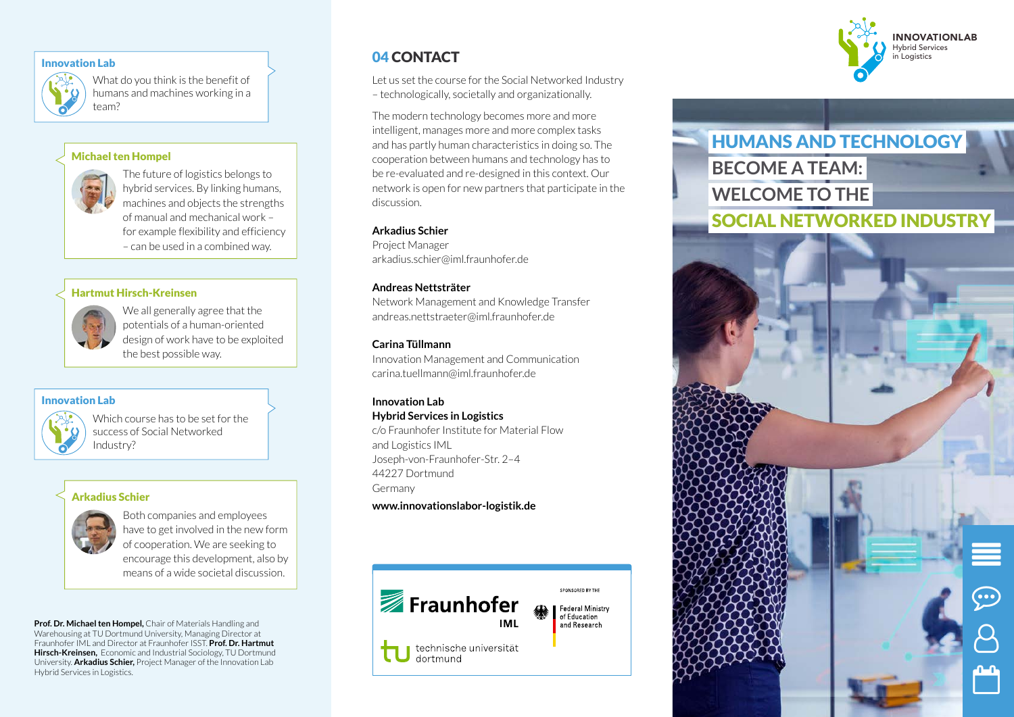## Innovation Lab

What do you think is the benefit of humans and machines working in a team?

### Michael ten Hompel



The future of logistics belongs to hybrid services. By linking humans, machines and objects the strengths of manual and mechanical work – for example flexibility and efficiency – can be used in a combined way.

#### Hartmut Hirsch-Kreinsen

We all generally agree that the potentials of a human-oriented design of work have to be exploited the best possible way.

#### Innovation Lab



Which course has to be set for the success of Social Networked Industry?

### Arkadius Schier



Both companies and employees have to get involved in the new form of cooperation. We are seeking to encourage this development, also by means of a wide societal discussion.

**Prof. Dr. Michael ten Hompel,** Chair of Materials Handling and Warehousing at TU Dortmund University, Managing Director at Fraunhofer IML and Director at Fraunhofer ISST. **Prof. Dr. Hartmut Hirsch-Kreinsen,** Economic and Industrial Sociology, TU Dortmund University. **Arkadius Schier,** Project Manager of the Innovation Lab Hybrid Services in Logistics.

# 04 CONTACT

Let us set the course for the Social Networked Industry – technologically, societally and organizationally.

The modern technology becomes more and more intelligent, manages more and more complex tasks and has partly human characteristics in doing so. The cooperation between humans and technology has to be re-evaluated and re-designed in this context. Our network is open for new partners that participate in the discussion.

#### **Arkadius Schier**

Project Manager arkadius.schier@iml.fraunhofer.de

#### **Andreas Nettsträter**

Network Management and Knowledge Transfer andreas.nettstraeter@iml.fraunhofer.de

#### **Carina Tüllmann**

Innovation Management and Communication carina.tuellmann@iml.fraunhofer.de

#### **Innovation Lab Hybrid Services in Logistics**

c/o Fraunhofer Institute for Material Flow and Logistics IML Joseph-von-Fraunhofer-Str. 2–4 44227 Dortmund Germany

**www.innovationslabor-logistik.de**





 $\equiv$ 

 $\odot$ 

පි

 $\mathbb{P}$ 

HUMANS AND TECHNOLOGY **BECOME A TEAM: WELCOME TO THE** SOCIAL NETWORKED INDUSTRY